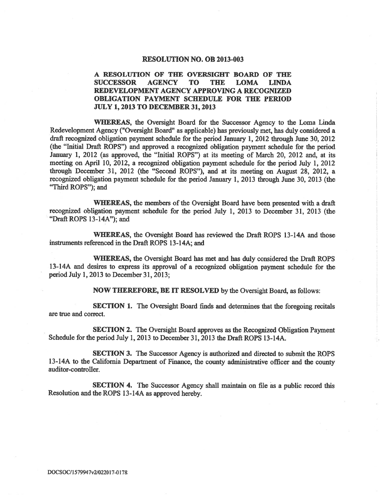### RESOLUTION NO. OB 2013-003

#### A RESOLUTION OF THE OVERSIGHT BOARD OF THE **SUCCESSOR AGENCY TO THE LOMA LINDA** REDEVELOPMENT AGENCY APPROVING A RECOGNIZED OBLIGATION PAYMENT SCHEDULE FOR THE PERIOD **JULY 1, 2013 TO DECEMBER 31, 2013**

WHEREAS, the Oversight Board for the Successor Agency to the Loma Linda Redevelopment Agency ("Oversight Board" as applicable) has previously met, has duly considered a draft recognized obligation payment schedule for the period January 1, 2012 through June 30, 2012 (the "Initial Draft ROPS") and approved a recognized obligation payment schedule for the period January 1, 2012 (as approved, the "Initial ROPS") at its meeting of March 20, 2012 and, at its meeting on April 10, 2012, a recognized obligation payment schedule for the period July 1, 2012 through December 31, 2012 (the "Second ROPS"), and at its meeting on August 28, 2012, a recognized obligation payment schedule for the period January 1, 2013 through June 30, 2013 (the "Third ROPS"); and

WHEREAS, the members of the Oversight Board have been presented with a draft recognized obligation payment schedule for the period July 1, 2013 to December 31, 2013 (the "Draft ROPS 13-14A"); and

WHEREAS, the Oversight Board has reviewed the Draft ROPS 13-14A and those instruments referenced in the Draft ROPS 13-14A; and

WHEREAS, the Oversight Board has met and has duly considered the Draft ROPS 13-14A and desires to express its approval of a recognized obligation payment schedule for the period July 1, 2013 to December 31, 2013;

**NOW THEREFORE, BE IT RESOLVED** by the Oversight Board, as follows:

SECTION 1. The Oversight Board finds and determines that the foregoing recitals are true and correct.

**SECTION 2.** The Oversight Board approves as the Recognized Obligation Payment Schedule for the period July 1, 2013 to December 31, 2013 the Draft ROPS 13-14A.

SECTION 3. The Successor Agency is authorized and directed to submit the ROPS 13-14A to the California Department of Finance, the county administrative officer and the county auditor-controller.

SECTION 4. The Successor Agency shall maintain on file as a public record this Resolution and the ROPS 13-14A as approved hereby.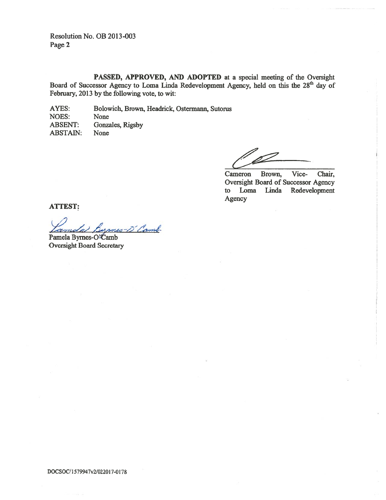Resolution No. OB 2013-003 Page 2

PASSED, APPROVED, AND ADOPTED at a special meeting of the Oversight Board of Successor Agency to Loma Linda Redevelopment Agency, held on this the 28<sup>th</sup> day of February, 2013 by the following vote, to wit:

AYES: Bolowich, Brown, Headrick, Ostermann, Sutorus **NOES:** None **ABSENT:** Gonzales, Rigsby **ABSTAIN:** None

Cameron Brown, Vice-Chair, Oversight Board of Successor Agency to Loma Linda Redevelopment Agency

**ATTEST:** 

5-D'Camb Pamela Byrnes-O<sup>2</sup>Camb

**Oversight Board Secretary**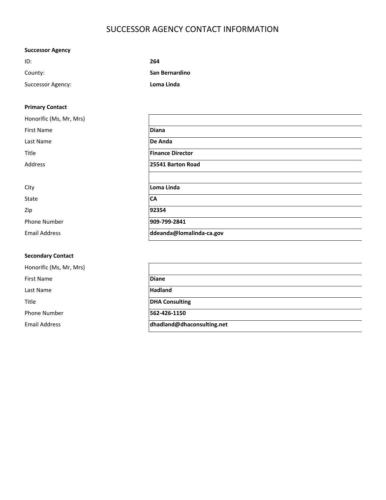# SUCCESSOR AGENCY CONTACT INFORMATION

## **Successor Agency**

| ID:               | 264            |
|-------------------|----------------|
| County:           | San Bernardino |
| Successor Agency: | Loma Linda     |

### **Primary Contact**

| Honorific (Ms, Mr, Mrs) |                          |
|-------------------------|--------------------------|
| <b>First Name</b>       | <b>Diana</b>             |
| Last Name               | De Anda                  |
| Title                   | <b>Finance Director</b>  |
| Address                 | 25541 Barton Road        |
|                         |                          |
| City                    | Loma Linda               |
| State                   | <b>CA</b>                |
| Zip                     | 92354                    |
| Phone Number            | 909-799-2841             |
| <b>Email Address</b>    | ddeanda@lomalinda-ca.gov |
|                         |                          |

### **Secondary Contact**

Honorific (Ms, Mr, Mrs) First Name **Diane** Last Name **Hadland** Title **DHA Consulting** Phone Number **562-426-1150** Email Address **dhadland@dhaconsulting.net**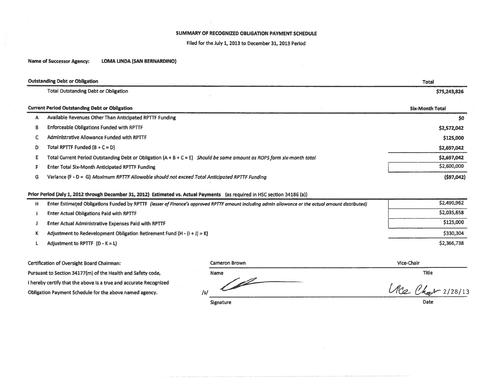### SUMMARY OF RECOGNIZED OBLIGATION PAYMENT SCHEDULE

Filed for the July 1, 2013 to December 31, 2013 Period

**Name of Successor Agency: LOMA LINDA (SAN BERNARDINO)** 

|    | <b>Outstanding Debt or Obligation</b>                                                                                    | <b>Total</b>           |
|----|--------------------------------------------------------------------------------------------------------------------------|------------------------|
|    | <b>Total Outstanding Debt or Obligation</b>                                                                              | \$75,243,826           |
|    | <b>Current Period Outstanding Debt or Obligation</b>                                                                     | <b>Six-Month Total</b> |
| А  | Available Revenues Other Than Anticipated RPTTF Funding                                                                  | \$0                    |
| В  | <b>Enforceable Obligations Funded with RPTTF</b>                                                                         | \$2,572,042            |
|    | Administrative Allowance Funded with RPTTF                                                                               | \$125,000              |
| D  | Total RPTTF Funded $(B + C = D)$                                                                                         | \$2,697,042            |
| E. | Total Current Period Outstanding Debt or Obligation $(A + B + C = E)$ Should be same amount as ROPS form six-month total | \$2,697,042            |
|    | <b>Enter Total Six-Month Anticipated RPTTF Funding</b>                                                                   | \$2,600,000            |
| G  | Variance (F - D = G) Maximum RPTTF Allowable should not exceed Total Anticipated RPTTF Funding                           | (597,042)              |

### Prior Period (July 1, 2012 through December 31, 2012) Estimated vs. Actual Payments (as required in HSC section 34186 (a))

| н | Enter Estimated Obligations Funded by RPTTF (iesser of Finance's approved RPTTF amount including admin allowance or the actual amount distributed) | \$2,490,962 |
|---|----------------------------------------------------------------------------------------------------------------------------------------------------|-------------|
|   | <b>Enter Actual Obligations Paid with RPTTF</b>                                                                                                    | \$2,035,658 |
|   | <b>Enter Actual Administrative Expenses Paid with RPTTF</b>                                                                                        | \$125,000   |
|   | Adjustment to Redevelopment Obligation Retirement Fund $(H - (i + J) = K)$                                                                         | \$330,304   |
|   | Adjustment to RPTTF $(D - K = L)$                                                                                                                  | \$2,366,738 |

Certification of Oversight Board Chairman:

Pursuant to Section 34177(m) of the Health and Safety code, i hereby certify that the above is a true and accurate Recognized Obligation Payment Schedule for the above named agency.

| <b>Cameron Brown</b> | Vice-Chair   |
|----------------------|--------------|
| Name                 | <b>Titie</b> |
| /s,                  | 2/28/13      |
| $  -$                | .            |

Signature

Date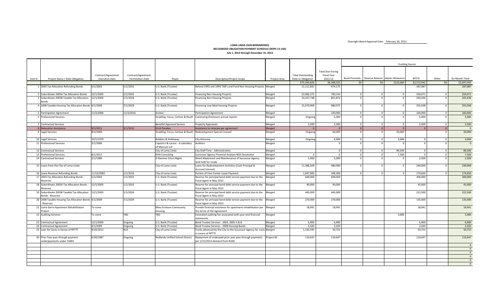Oversight Board Approval Date: February 26, 2013

#### **LOMA LINDA (SAN BERNARDINO) RECOGNIZED OBLIGATION PAYMENT SCHEDULE (ROPS 13‐14A) July 1, 2013 through December 31, 2013**

|       |                                                                        |                       |                         |                                                                 |                                                                                                    |              |                          |                         |                |                                               |                | <b>Funding Source</b> |                 |                 |
|-------|------------------------------------------------------------------------|-----------------------|-------------------------|-----------------------------------------------------------------|----------------------------------------------------------------------------------------------------|--------------|--------------------------|-------------------------|----------------|-----------------------------------------------|----------------|-----------------------|-----------------|-----------------|
|       |                                                                        |                       |                         |                                                                 |                                                                                                    |              |                          |                         |                |                                               |                |                       |                 |                 |
|       |                                                                        |                       |                         |                                                                 |                                                                                                    |              |                          | <b>Total Due During</b> |                |                                               |                |                       |                 |                 |
|       |                                                                        | Contract/Agreement    | Contract/Agreement      |                                                                 |                                                                                                    |              | <b>Total Outstanding</b> | <b>Fiscal Year</b>      |                | Bond Proceeds Reserve Balance Admin Allowance |                | <b>RPTTF</b>          |                 |                 |
| Item# | Project Name / Debt Obligation                                         | <b>Execution Date</b> | <b>Termination Date</b> | Payee                                                           | <b>Description/Project Scope</b>                                                                   | Project Area | Debt or Obligation       | 2013-14                 |                |                                               |                |                       | Other           | Six-Month Total |
|       |                                                                        |                       |                         |                                                                 |                                                                                                    |              | \$75,243,826             | \$6,398,325             | 50             | \$0                                           | \$125,000      | \$2,572,042           | 50 <sup>1</sup> | \$2,697,042     |
|       | 1 2003 Tax Allocation Refunding Bonds                                  | 5/1/2003              | 1/1/2031                | U.S. Bank (Trustee)                                             | Refund 1993 and 1994 TAB's and Fund Non-Housing Projects Merged                                    |              | 11,111,831               | 974,175                 |                |                                               |                | 187,087               |                 | 187,087         |
|       | 2 Subordinate 2005A Tax Allocation Bonds                               | 12/1/2005             | 1/1/2031                | U.S. Bank (Trustee)                                             | <b>Financing Non-Housing Projects</b>                                                              | Merged       | 23,082,275               | 790,143                 | $\Omega$       | $\Omega$                                      | $\Omega$       | 350,071               | $\circ$         | 350,071         |
|       | 3 Subordinate 2005B Taxable Tax Allocation<br>annds                    | 12/1/2005             | 1/1/2026                | U.S. Bank (Trustee)                                             | <b>Financing Non-Housing Projects</b>                                                              | Merged       | 10,247,748               | 851.872                 | $\Omega$       |                                               | $\Omega$       | 203.436               | $\circ$         | 203,436         |
|       | 4 2008 Taxable Housing Tax Allocation Bonds 4/1/2009                   |                       | 7/1/2029                | U.S. Bank (Trustee)                                             | Financing Low-Mod Housing Projects                                                                 | Merged       | 15,670,900               | 980,075                 |                | $\Omega$                                      | $\Omega$       | 355,038               | $\Omega$        | 355,038         |
|       | 5 Participation Agreement                                              | 11/3/2006             | 11/3/2016               | Anixter                                                         | Participation Agreement                                                                            | Merged       |                          | 320,000                 | $\overline{0}$ | $\overline{0}$                                | $\overline{0}$ | 160,000               | $\circ$         | 160,000         |
|       | 6 Professional Services                                                |                       |                         |                                                                 | Stradling, Yocca, Carlson & Rauth Continuing Disclosure annual reports                             | Merged       | Ongoing                  | 5,000                   | $\Omega$       | $\Omega$                                      | $\Omega$       | 5,000                 | $\circ$         | 5,000           |
|       | 7 Contractual Services                                                 |                       |                         | <b>Benefiel Appraisal Service</b>                               | Property Appraisals                                                                                | Merged       | 2,500                    | 2,500                   | $\Omega$       | $\Omega$                                      | $\overline{0}$ | 2,500                 | $\overline{0}$  | 2,500           |
|       | 8 Relocation Assistance                                                | 9/1/2011              | 3/1/2015                | <b>Erick Paredes</b>                                            | Assistance to relocate per agreement                                                               | Merged       | $\Omega$                 | $\Omega$                | $\Omega$       | $\Omega$                                      | $\overline{0}$ |                       | $\overline{0}$  | $\Omega$        |
|       | 9 Legal Services                                                       | 8/1/2009              |                         | Stradling, Yocca, Carlson & Rauth Redevelopment Special Counsel |                                                                                                    | Merged       | Ongoing                  | 40,000                  |                | $\Omega$                                      | 20,000         |                       | $\Omega$        | 20,000          |
|       | 10 Legal Services                                                      | 10/1/1970             |                         | Robbins & Holdaway                                              | City Attorney                                                                                      | Merged       | Ongoing                  | 6,000                   | $\Omega$       | $\Omega$                                      | 3,000          |                       | $\circ$         | 3,000           |
|       | 11 Professional Services                                               | 3/1/2006              |                         | Caporicci & Larson - A subsidary<br>of Marcum LLP               | Auditors                                                                                           | Merged       |                          |                         |                | $\Omega$                                      | $\Omega$       |                       | $\Omega$        | $\mathbf{0}$    |
|       | 12 Contractual Services                                                |                       |                         | City of Loma Linda                                              | City Staff Time - Adminsitration                                                                   | Merged       |                          | $\Omega$                |                | $\Omega$                                      | 89,500         |                       | $\circ$         | 89,500          |
|       | 13 Professional Services                                               | 8/1/2011              |                         | <b>DHA Consulting</b>                                           | Successor Agency Financial Analysis-RDS Dissolution                                                | Merged       | $\Omega$                 | $\Omega$                | $\Omega$       | $\overline{0}$                                | 7,500          | $\Omega$              | $\Omega$        | 7,500           |
|       | 14 Contractual Services                                                | 2/1/1989              |                         | JJ Ramirez Citurs Mgmt                                          | Weed Abatement and Maintenance of Successor Agency<br>land held for resale                         | Merged       | 5,000                    | 5,000                   | $\Omega$       | $\Omega$                                      | $\overline{0}$ | 2,500                 | $\overline{0}$  | 2,500           |
|       | 15 Loans from the City of Loma Linda                                   |                       |                         | City of Loma Linda                                              | Loans for Redevelopment Activities (Cash Principal &<br>Accrued Interest)                          | Merged       | 11,388,569               | 480,000                 |                |                                               |                | 240,000               | $\Omega$        | 240,000         |
|       | 16 Lease Revenue Refunding Bonds                                       | 11/13/2002            | 1/1/2016                | City of Loma Linda                                              | Portion of Civic Center Lease Payment                                                              | Merged       | 1,047,900                | 349,300                 |                |                                               | $\overline{0}$ | 174,650               | $\circ$         | 174,650         |
|       | 17 2003 Tax Allocation Refunding Bonds -                               | 5/1/2003              | 1/1/2031                | U.S. Bank (Trustee)                                             | Reserve for principal bond debt service payment due to the                                         | Merged       | 600,000                  | 600,000                 |                |                                               |                | 300,000               |                 | 300,000         |
|       | Reserves                                                               |                       |                         |                                                                 | Fiscal Agent in May 2013                                                                           |              |                          |                         |                |                                               |                |                       |                 |                 |
|       | 18 Subordinate 2005A Tax Allocation Bonds<br>Reserves                  | 12/1/2005             | 1/1/2031                | U.S. Bank (Trustee)                                             | Reserve for principal bond debt service payment due to the<br>Fiscal Agent in May 2013             | Merged       | 90,000                   | 90,000                  |                |                                               |                | 45,000                |                 | 45,000          |
|       | 19 Subordinate 2005B Taxable Tax Allocation<br><b>Bonds - Reserves</b> | 12/1/2005             | 1/1/2026                | U.S. Bank (Trustee)                                             | Reserve for principal bond debt service payment due to the Merged<br>Fiscal Agent in May 2013      |              | 445,000                  | 445,000                 |                |                                               |                | 222,500               |                 | 222,500         |
|       | 20 2008 Taxable Housing Tax Allocation Bonds 4/1/2009<br>Reserves      |                       | 7/1/2029                | U.S. Bank (Trustee)                                             | Reserve for principal bond debt service payment due to the Merged<br>Fiscal Agent in May 2013      |              | 270,000                  | 270,000                 |                |                                               |                | 135,000               |                 | 135,000         |
|       | 21 Loma Sierra Apartment Rehabilitation<br>roiect                      | To come               |                         | Mary Erickson Community<br>Housing                              | Provide financial assistance for apartment rehabilitation per Merged<br>the terms of the Agreement |              | 18,941                   | 18,941                  |                |                                               |                | 18,941                |                 | 18,941          |
|       | 22 Auditing Services                                                   | To come               | <b>TBD</b>              | TBD                                                             | Estimated auditing fee associated with year-end financial<br>statements.                           | Merged       |                          |                         |                |                                               | 5,000          |                       |                 | 5,000           |
|       | 23 Contractual Agreement                                               | 12/1/2005             | Ongoing                 | U.S. Bank (Trustee)                                             | Bond Trustee Services - 2003, 2005 A & B                                                           | Merged       | 6,900                    | 6,900                   |                |                                               |                | 6,900                 |                 | 6,900           |
|       | 24 Contractual Agreement                                               | 4/1/2009              | Ongoing                 | U.S. Bank (Trustee)                                             | Bond Trustee Services - 2008 Housing Bonds                                                         | Merged       | 2,020                    | 2,020                   |                |                                               |                | 2.020                 |                 | 2,020           |
|       | 25 Loan for Costs in Excess of RPTTF                                   | 4/10/2012             | N/A                     | City of Loma Linda                                              | Funds advanced by the City to the Successor Agency for costs Merged<br>in excess of RPTTF          |              | 1,143,595                | 50,752                  |                |                                               |                | 50,752                |                 | 50,752          |
|       | 26 Prior Year pass through payment                                     | 6/30/1987             | Ongoing                 | Redlands Unified School District                                | Repayment of underpaid prior year pass through payments Project #2                                 |              | 110,647                  | 110,647                 |                |                                               |                | 110,647               |                 | 110,647         |
|       | underpayments under 33401                                              |                       |                         |                                                                 | per 1/15/2013 demand from RUSD                                                                     |              |                          |                         |                |                                               |                |                       |                 | $\overline{0}$  |
|       |                                                                        |                       |                         |                                                                 |                                                                                                    |              |                          |                         |                |                                               |                |                       |                 | $\Omega$        |
|       |                                                                        |                       |                         |                                                                 |                                                                                                    |              |                          |                         |                |                                               |                |                       |                 | $\overline{0}$  |
|       |                                                                        |                       |                         |                                                                 |                                                                                                    |              |                          |                         |                |                                               |                |                       |                 | $\overline{0}$  |
|       |                                                                        |                       |                         |                                                                 |                                                                                                    |              |                          |                         |                |                                               |                |                       |                 | $\mathbf{0}$    |
|       |                                                                        |                       |                         |                                                                 |                                                                                                    |              |                          |                         |                |                                               |                |                       |                 | $\Omega$        |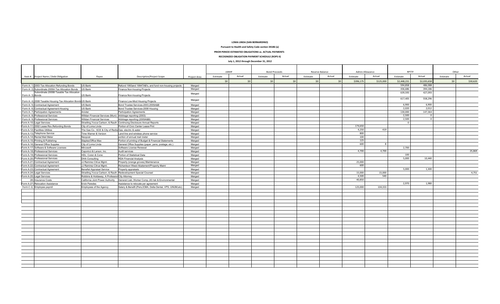#### **LOMA LINDA (SAN BERNARDINO)**

**Pursuant to Health and Safety Code section 34186 (a)**

**PRIOR PERIOD ESTIMATED OBLIGATIONS vs. ACTUAL PAYMENTS** 

**RECOGNIZED OBLIGATION PAYMENT SCHEDULE (ROPS II)**

#### **July 1, 2012 through December 31, 2012**

|                  |                                                              |                                                              |                                                                        |              | LMIHF    |        | <b>Bond Proceeds</b> |        |          |        | Reserve Balance |           | Admin Allowance |                | <b>RPTTF</b> |          |  | Other |
|------------------|--------------------------------------------------------------|--------------------------------------------------------------|------------------------------------------------------------------------|--------------|----------|--------|----------------------|--------|----------|--------|-----------------|-----------|-----------------|----------------|--------------|----------|--|-------|
|                  | Item # Project Name / Debt Obligation                        | Payee                                                        | <b>Description/Project Scope</b>                                       | Project Area | Estimate | Actual | Estimate             | Actual | Estimate | Actual | Estimate        | Actual    | Estimate        | Actual         | Estimate     | Actual   |  |       |
|                  |                                                              |                                                              |                                                                        |              | \$0      | 50     | \$0                  | SO     | \$0      | \$0    | \$396,175       | \$125,000 | \$2,448,231     | \$2,035,658    | \$0          | \$30,620 |  |       |
|                  | Form A- 1) 2003 Tax Allocation Refunding Bonds               | <b>US Bank</b>                                               | Refund 1993and 1994TAB's, and fund non-housing projects                | Merged       |          |        |                      |        |          |        |                 |           | 594,858         | 486,088        |              |          |  |       |
|                  | Form A- 2) Subordinate 2005A Tax Allocation Bonds            | <b>US Bank</b>                                               | Finance Non-housing Projects                                           | Merged       |          |        |                      |        |          |        |                 |           | 436,686         | 394,186        |              |          |  |       |
| Form A- 3) Bonds | Subordinate 2005B Taxable Tax Allocation                     | US Bank                                                      | <b>Finance Non-housing Projects</b>                                    | Merged       |          |        |                      |        |          |        |                 |           | 639,593         | 427,093        |              |          |  |       |
|                  | Form A- 4) 2008 Taxable Housing Tax Allocation Bonds US Bank |                                                              | Finance Low-Mod Housing Projects                                       | Merged       |          |        |                      |        |          |        |                 |           | 617,405         | 558,296        |              |          |  |       |
|                  | Form A- 5) Contractual Agreement                             | US Bank                                                      | Bond Trustee Services-2003,2005A&B                                     | Merged       |          |        |                      |        |          |        |                 |           | 6,900           | 6.900          |              |          |  |       |
|                  | Form A- 6) Contractual Agreement-Housing                     | <b>US Bank</b>                                               | Bond Trustee Services-2008 Housing                                     | Merged       |          |        |                      |        |          |        |                 |           | 2,020           | 2,012          |              |          |  |       |
|                  | Form A- 7) Participation Agreements                          | Anixter                                                      | <b>Participation Agreements</b>                                        | Meraed       |          |        |                      |        |          |        |                 |           | 130,000         | 147.363        |              |          |  |       |
|                  | Form A-8) Professional Services                              | Willdan Financial Services (Muni) Arbitrage reporting (2003) |                                                                        | Merged       |          |        |                      |        |          |        |                 |           | 2,500           | $\Omega$       |              |          |  |       |
|                  | Form A- 9) Professional Services                             | Willdan Financial Services                                   | Arbitrage reporting (2005A&B)                                          | Merged       |          |        |                      |        |          |        |                 |           | 2,500           | $\overline{0}$ |              |          |  |       |
|                  | Form A-10) Legal Services                                    |                                                              | Stradling, Yocca Carlson, & Rauth Continuing Disclosure Annual Reports | Merged       |          |        |                      |        |          |        |                 |           | $^{\circ}$      |                |              |          |  |       |
|                  | Form A-11) 2002 Lease Rev. Refunding Bonds                   | City of Loma Linda                                           | Portion of Civic Center Lease Pmt                                      | Merged       |          |        |                      |        |          |        | 174,650         |           |                 |                |              |          |  |       |
|                  | Form A-12) Facilities Utilities                              | The Gas Co., SCE & City of Redla Gas, electric & water       |                                                                        | Merged       |          |        |                      |        |          |        | 4,250           | 419       |                 |                |              |          |  |       |
|                  | Form A-13) Telephone Service                                 | Time Warner & Verizon                                        | Land line and wireless phone service                                   | Merged       |          |        |                      |        |          |        | 800             |           |                 |                |              |          |  |       |
|                  | Form A-14) Rental Mail Meter                                 | Neopost                                                      | portion of annual mail meter                                           | Merged       |          |        |                      |        |          |        | 100             |           |                 |                |              |          |  |       |
|                  | Form A-15) Printing & Publishing                             | Staples/Office Max                                           | Portion of printing of Budget & Financial Statements                   | Merged       |          |        |                      |        |          |        | 125             |           |                 |                |              |          |  |       |
|                  | Form A-16) General Office Supples                            | City of Loma Linda                                           | General Office Supplies (paper, pens, postage, etc.)                   | Merged       |          |        |                      |        |          |        | 600             |           |                 |                |              |          |  |       |
|                  | Form A-17) Software & Software Licenses                      | Mircosoft                                                    | Software License Renewal                                               | Merged       |          |        |                      |        |          |        |                 |           | 2,700           |                |              |          |  |       |
|                  | Form A-18) Professional Services                             | Caporicci & Larson, Inc.                                     | Audit services                                                         | Meraed       |          |        |                      |        |          |        | 4,700           | 4,700     |                 |                |              | 25,869   |  |       |
|                  | Form A-19) Professional Services                             | HDL, Coren & Cone                                            | Portion of Statistical Data                                            | Merged       |          |        |                      |        |          |        |                 |           | 100             |                |              |          |  |       |
|                  | Form A-20) Professional Services                             | <b>DHA Consulting</b>                                        | RDA Financial Analysis                                                 | Merged       |          |        |                      |        |          |        |                 |           | 5,000           | 10,440         |              |          |  |       |
|                  | Form A-21) Contractual Agreement                             | JJ Ramirez Citrus Mgmt.                                      | Property (orange groves) Maintenance                                   | Merged       |          |        |                      |        |          |        | 25,000          |           |                 |                |              |          |  |       |
|                  | Form A-22) Contractual Agreement                             | JJ Ramirez Citrus Mgmt.                                      | Richardson Weed Abatement/Property Maint                               | Merged       |          |        |                      |        |          |        | 600             |           |                 |                |              |          |  |       |
|                  | Form A-23) Contractual Agreement                             | <b>Benefiel Appraisal Service</b>                            | Property appraisals                                                    | Merged       |          |        |                      |        |          |        |                 |           | 5,000           | 1,300          |              |          |  |       |
|                  | Form A-24) Legal Services                                    |                                                              | Stradling, Yocca Carlson, & Rauth Redevelopment Special Counsel        | Merged       |          |        |                      |        |          |        | 15,000          | 15,000    |                 |                |              | 4,751    |  |       |
|                  | Form A-25) Legal Services                                    | Robbins & Holdaway, A Profession City Attorney               |                                                                        | Merged       |          |        |                      |        |          |        | 4,500           | 540       |                 |                |              |          |  |       |
|                  | 26) Insurance Costs                                          | California Joint Power Authority                             | General Liab., Worker Comp., All risk & Environmental                  | Merged       |          |        |                      |        |          |        | 40,850          |           |                 |                |              |          |  |       |
|                  | Form A-27) Relocation Assistance                             | <b>Erick Paredes</b>                                         | Assistance to relocate per agreement                                   | Merged       |          |        |                      |        |          |        |                 |           | 2,970           | 1.980          |              |          |  |       |
|                  | Form C-1) Employee payroll                                   | Employees of the Agency                                      | Salary & Benefit (Pers, ICMA, Delta Dental, VPS, UNUM, etc)            | Merged       |          |        |                      |        |          |        | 125,000         | 104,333   |                 |                |              |          |  |       |
|                  |                                                              |                                                              |                                                                        |              |          |        |                      |        |          |        |                 |           |                 |                |              |          |  |       |
|                  |                                                              |                                                              |                                                                        |              |          |        |                      |        |          |        |                 |           |                 |                |              |          |  |       |
|                  |                                                              |                                                              |                                                                        |              |          |        |                      |        |          |        |                 |           |                 |                |              |          |  |       |
|                  |                                                              |                                                              |                                                                        |              |          |        |                      |        |          |        |                 |           |                 |                |              |          |  |       |
|                  |                                                              |                                                              |                                                                        |              |          |        |                      |        |          |        |                 |           |                 |                |              |          |  |       |
|                  |                                                              |                                                              |                                                                        |              |          |        |                      |        |          |        |                 |           |                 |                |              |          |  |       |
|                  |                                                              |                                                              |                                                                        |              |          |        |                      |        |          |        |                 |           |                 |                |              |          |  |       |
|                  |                                                              |                                                              |                                                                        |              |          |        |                      |        |          |        |                 |           |                 |                |              |          |  |       |
|                  |                                                              |                                                              |                                                                        |              |          |        |                      |        |          |        |                 |           |                 |                |              |          |  |       |
|                  |                                                              |                                                              |                                                                        |              |          |        |                      |        |          |        |                 |           |                 |                |              |          |  |       |
|                  |                                                              |                                                              |                                                                        |              |          |        |                      |        |          |        |                 |           |                 |                |              |          |  |       |
|                  |                                                              |                                                              |                                                                        |              |          |        |                      |        |          |        |                 |           |                 |                |              |          |  |       |
|                  |                                                              |                                                              |                                                                        |              |          |        |                      |        |          |        |                 |           |                 |                |              |          |  |       |
|                  |                                                              |                                                              |                                                                        |              |          |        |                      |        |          |        |                 |           |                 |                |              |          |  |       |
|                  |                                                              |                                                              |                                                                        |              |          |        |                      |        |          |        |                 |           |                 |                |              |          |  |       |
|                  |                                                              |                                                              |                                                                        |              |          |        |                      |        |          |        |                 |           |                 |                |              |          |  |       |
|                  |                                                              |                                                              |                                                                        |              |          |        |                      |        |          |        |                 |           |                 |                |              |          |  |       |
|                  |                                                              |                                                              |                                                                        |              |          |        |                      |        |          |        |                 |           |                 |                |              |          |  |       |
|                  |                                                              |                                                              |                                                                        |              |          |        |                      |        |          |        |                 |           |                 |                |              |          |  |       |
|                  |                                                              |                                                              |                                                                        |              |          |        |                      |        |          |        |                 |           |                 |                |              |          |  |       |
|                  |                                                              |                                                              |                                                                        |              |          |        |                      |        |          |        |                 |           |                 |                |              |          |  |       |
|                  |                                                              |                                                              |                                                                        |              |          |        |                      |        |          |        |                 |           |                 |                |              |          |  |       |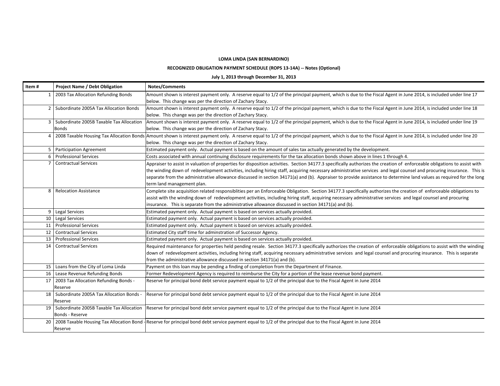### **LOMA LINDA (SAN BERNARDINO)**

### **RECOGNIZED OBLIGATION PAYMENT SCHEDULE (ROPS 13‐14A) ‐‐ Notes (Optional)**

### **July 1, 2013 through December 31, 2013**

| Item# | <b>Project Name / Debt Obligation</b>         | <b>Notes/Comments</b>                                                                                                                                                                                        |
|-------|-----------------------------------------------|--------------------------------------------------------------------------------------------------------------------------------------------------------------------------------------------------------------|
|       | 1   2003 Tax Allocation Refunding Bonds       | Amount shown is interest payment only. A reserve equal to 1/2 of the principal payment, which is due to the Fiscal Agent in June 2014, is included under line 17                                             |
|       |                                               | below. This change was per the direction of Zachary Stacy.                                                                                                                                                   |
|       | 2   Subordinate 2005A Tax Allocation Bonds    | Amount shown is interest payment only. A reserve equal to 1/2 of the principal payment, which is due to the Fiscal Agent in June 2014, is included under line 18                                             |
|       |                                               | below. This change was per the direction of Zachary Stacy.                                                                                                                                                   |
|       | 3 Subordinate 2005B Taxable Tax Allocation    | Amount shown is interest payment only. A reserve equal to 1/2 of the principal payment, which is due to the Fiscal Agent in June 2014, is included under line 19                                             |
|       | <b>Bonds</b>                                  | below. This change was per the direction of Zachary Stacy.                                                                                                                                                   |
|       |                                               | 4 2008 Taxable Housing Tax Allocation Bonds Amount shown is interest payment only. A reserve equal to 1/2 of the principal payment, which is due to the Fiscal Agent in June 2014, is included under line 20 |
|       |                                               | below. This change was per the direction of Zachary Stacy.                                                                                                                                                   |
|       | 5   Participation Agreement                   | Estimated payment only. Actual payment is based on the amount of sales tax actually generated by the development.                                                                                            |
|       | 6   Professional Services                     | Costs associated with annual continuing disclosure requirements for the tax allocation bonds shown above in lines 1 through 4.                                                                               |
|       | <b>Contractual Services</b>                   | Appraiser to assist in valuation of properties for disposition activities. Section 34177.3 specifically authorizes the creation of enforceable obligations to assist with                                    |
|       |                                               | the winding down of redevelopment activities, including hiring staff, acquiring necessary administrative services and legal counsel and procuring insurance. This is                                         |
|       |                                               | separate from the administrative allowance discussed in section 34171(a) and (b). Appraiser to provide assistance to determine land values as required for the long                                          |
|       |                                               | term land management plan.                                                                                                                                                                                   |
| 8     | <b>Relocation Assistance</b>                  | Complete site acquisition related responsiblities per an Enforceable Obligation. Section 34177.3 specifically authorizes the creation of enforceable obligations to                                          |
|       |                                               | assist with the winding down of redevelopment activities, including hiring staff, acquiring necessary administrative services and legal counsel and procuring                                                |
|       |                                               | insurance. This is separate from the administrative allowance discussed in section 34171(a) and (b).                                                                                                         |
| 9     | Legal Services                                | Estimated payment only. Actual payment is based on services actually provided.                                                                                                                               |
|       | 10 Legal Services                             | Estimated payment only. Actual payment is based on services actually provided.                                                                                                                               |
|       | 11 Professional Services                      | Estimated payment only. Actual payment is based on services actually provided.                                                                                                                               |
| 12    | Contractual Services                          | Estimated City staff time for adminstration of Successor Agency.                                                                                                                                             |
| 13    | <b>Professional Services</b>                  | Estimated payment only. Actual payment is based on services actually provided.                                                                                                                               |
| 14    | <b>Contractual Services</b>                   | Required maintenance for properties held pending resale. Section 34177.3 specifically authorizes the creation of enforceable obligations to assist with the winding                                          |
|       |                                               | down of redevelopment activities, including hiring staff, acquiring necessary administrative services and legal counsel and procuring insurance. This is separate                                            |
|       |                                               | from the administrative allowance discussed in section 34171(a) and (b).                                                                                                                                     |
|       | 15   Loans from the City of Loma Linda        | Payment on this loan may be pending a finding of completion from the Department of Finance.                                                                                                                  |
|       | 16   Lease Revenue Refunding Bonds            | Former Redevelopment Agency is required to reimburse the City for a portion of the lease revenue bond payment.                                                                                               |
| 17    | 2003 Tax Allocation Refunding Bonds -         | Reserve for principal bond debt service payment equal to 1/2 of the principal due to the Fiscal Agent in June 2014                                                                                           |
|       | Reserve                                       |                                                                                                                                                                                                              |
|       | 18   Subordinate 2005A Tax Allocation Bonds - | Reserve for principal bond debt service payment equal to 1/2 of the principal due to the Fiscal Agent in June 2014                                                                                           |
|       | Reserve                                       |                                                                                                                                                                                                              |
|       | 19   Subordinate 2005B Taxable Tax Allocation | Reserve for principal bond debt service payment equal to 1/2 of the principal due to the Fiscal Agent in June 2014                                                                                           |
|       | Bonds - Reserve                               |                                                                                                                                                                                                              |
| 20    |                                               | 2008 Taxable Housing Tax Allocation Bond - Reserve for principal bond debt service payment equal to 1/2 of the principal due to the Fiscal Agent in June 2014                                                |
|       | Reserve                                       |                                                                                                                                                                                                              |